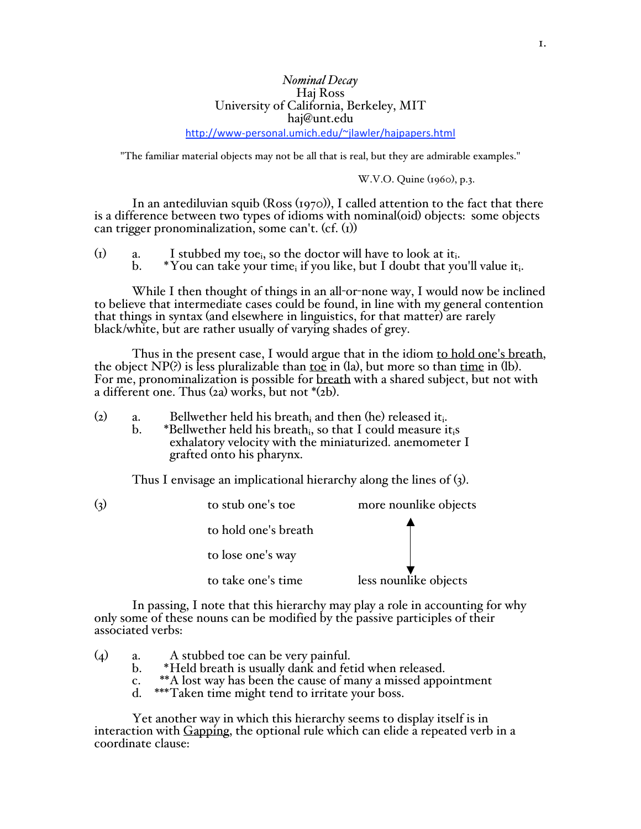# *Nominal Decay* Haj Ross University of California, Berkeley, MIT haj@unt.edu

http://www‐personal.umich.edu/~jlawler/hajpapers.html

"The familiar material objects may not be all that is real, but they are admirable examples."

W.V.O. Quine (1960), p.3.

In an antediluvian squib (Ross (1970)), I called attention to the fact that there is a difference between two types of idioms with nominal(oid) objects: some objects can trigger pronominalization, some can't.  $(cf. (1))$ 

- (1) a. I stubbed my toe<sub>i</sub>, so the doctor will have to look at it<sub>i</sub>.<br>b. \*You can take your time, if you like, but I doubt that you
	- \*You can take your time<sub>i</sub> if you like, but I doubt that you'll value it.

While I then thought of things in an all-or-none way, I would now be inclined to believe that intermediate cases could be found, in line with my general contention that things in syntax (and elsewhere in linguistics, for that matter) are rarely black/white, but are rather usually of varying shades of grey.

Thus in the present case, I would argue that in the idiom to hold one's breath, the object  $NP(?)$  is less pluralizable than toe in  $(la)$ , but more so than time in  $(lb)$ . For me, pronominalization is possible for breath with a shared subject, but not with a different one. Thus  $(2a)$  works, but not  $*(2b)$ .

- (2) a. Bellwether held his breath<sub>i</sub> and then (he) released it<sub>i</sub>.<br>b. \*Bellwether held his breathi, so that I could measure it
	- \*Bellwether held his breath<sub>i</sub>, so that I could measure it<sub>i</sub>s exhalatory velocity with the miniaturized. anemometer I grafted onto his pharynx.

Thus I envisage an implicational hierarchy along the lines of (3).

| (3) | to stub one's toe    | more nounlike objects |  |
|-----|----------------------|-----------------------|--|
|     | to hold one's breath |                       |  |
|     | to lose one's way    |                       |  |
|     | to take one's time   | less nounlike objects |  |

In passing, I note that this hierarchy may play a role in accounting for why only some of these nouns can be modified by the passive participles of their associated verbs:

- (4) a. A stubbed toe can be very painful.
	- b. \*Held breath is usually dank and fetid when released.
	- c. \*\*A lost way has been the cause of many a missed appointment<br>d. \*\*\*Taken time might tend to irritate your boss.
	- \*\*\*Taken time might tend to irritate your boss.

Yet another way in which this hierarchy seems to display itself is in interaction with Gapping, the optional rule which can elide a repeated verb in a coordinate clause: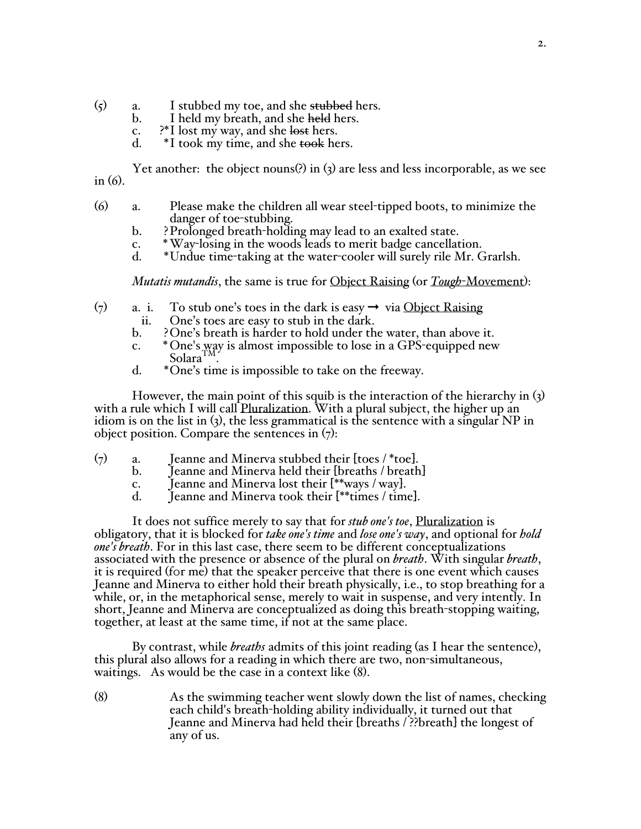- $(5)$  a. I stubbed my toe, and she stubbed hers.
	- b. I held my breath, and she held hers.
	- c.  $\mathbb{R}^*$ I lost my way, and she lost hers.<br>d.  $\mathbb{R}^*$ I took my time, and she took he
	- $*$ I took my time, and she took hers.

Yet another: the object nouns(?) in (3) are less and less incorporable, as we see in (6).

- (6) a. Please make the children all wear steel-tipped boots, to minimize the danger of toe-stubbing.
	- b. ?Prolonged breath-holding may lead to an exalted state.
	- c. \*Way-losing in the woods leads to merit badge cancellation.
	- \*Undue time-taking at the water-cooler will surely rile Mr. Grarlsh.

*Mutatis mutandis*, the same is true for Object Raising (or *Tough*-Movement):

- (7) a. i. To stub one's toes in the dark is easy  $\rightarrow$  via Object Raising
	- ii. One's toes are easy to stub in the dark.<br>b. ? One's breath is harder to hold under th
		- ? One's breath is harder to hold under the water, than above it.
	- c. \* One's way is almost impossible to lose in a GPS-equipped new Solara<sup>TM</sup>
	- d. \*One's time is impossible to take on the freeway.

However, the main point of this squib is the interaction of the hierarchy in (3) with a rule which I will call Pluralization. With a plural subject, the higher up an idiom is on the list in  $(3)$ , the less grammatical is the sentence with a singular NP in object position. Compare the sentences in  $(7)$ :

- (7) a. Jeanne and Minerva stubbed their [toes / \*toe].
	- Jeanne and Minerva held their [breaths / breath]
	- c. Jeanne and Minerva lost their  $[**ways / way]$ .<br>d. Jeanne and Minerva took their  $[**times / time]$
	- Jeanne and Minerva took their  $[**t]$  times / time].

It does not suffice merely to say that for *stub one's toe*, Pluralization is obligatory, that it is blocked for *take one's time* and *lose one's way*, and optional for *hold one's breath*. For in this last case, there seem to be different conceptualizations associated with the presence or absence of the plural on *breath*. With singular *breath*, it is required (f0r me) that the speaker perceive that there is one event which causes Jeanne and Minerva to either hold their breath physically, i.e., to stop breathing for a while, or, in the metaphorical sense, merely to wait in suspense, and very intently. In short, Jeanne and Minerva are conceptualized as doing this breath-stopping waiting, together, at least at the same time, if not at the same place.

By contrast, while *breaths* admits of this joint reading (as I hear the sentence), this plural also allows for a reading in which there are two, non-simultaneous, waitings. As would be the case in a context like (8).

(8) As the swimming teacher went slowly down the list of names, checking each child's breath-holding ability individually, it turned out that Jeanne and Minerva had held their [breaths / ??breath] the longest of any of us.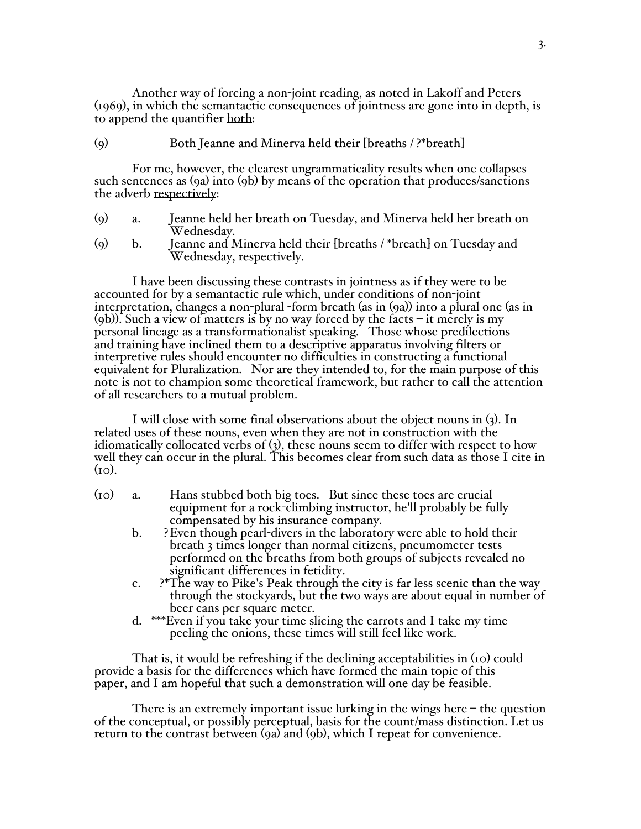Another way of forcing a non-joint reading, as noted in Lakoff and Peters (1969), in which the semantactic consequences of jointness are gone into in depth, is to append the quantifier both:

## (9) Both Jeanne and Minerva held their [breaths / ?\*breath]

For me, however, the clearest ungrammaticality results when one collapses such sentences as (9a) into (9b) by means of the operation that produces/sanctions the adverb respectively:

- (9) a. Jeanne held her breath on Tuesday, and Minerva held her breath on Wednesday.
- (9) b. Jeanne and Minerva held their [breaths / \*breath] on Tuesday and Wednesday, respectively.

I have been discussing these contrasts in jointness as if they were to be accounted for by a semantactic rule which, under conditions of non-joint interpretation, changes a non-plural -form breath (as in (9a)) into a plural one (as in (9b)). Such a view of matters is by no way forced by the facts – it merely is my personal lineage as a transformationalist speaking. Those whose predilections and training have inclined them to a descriptive apparatus involving filters or interpretive rules should encounter no difficulties in constructing a functional equivalent for Pluralization. Nor are they intended to, for the main purpose of this note is not to champion some theoretical framework, but rather to call the attention of all researchers to a mutual problem.

I will close with some final observations about the object nouns in (3). In related uses of these nouns, even when they are not in construction with the idiomatically collocated verbs of (3), these nouns seem to differ with respect to how well they can occur in the plural. This becomes clear from such data as those I cite in  $(i<sub>O</sub>)$ .

- (10) a. Hans stubbed both big toes. But since these toes are crucial equipment for a rock-climbing instructor, he'll probably be fully compensated by his insurance company.
	- b. ?Even though pearl-divers in the laboratory were able to hold their breath 3 times longer than normal citizens, pneumometer tests performed on the breaths from both groups of subjects revealed no significant differences in fetidity.
	- c. ?\*The way to Pike's Peak through the city is far less scenic than the way through the stockyards, but the two ways are about equal in number of beer cans per square meter.
	- d. \*\*\*Even if you take your time slicing the carrots and I take my time peeling the onions, these times will still feel like work.

That is, it would be refreshing if the declining acceptabilities in (10) could provide a basis for the differences which have formed the main topic of this paper, and I am hopeful that such a demonstration will one day be feasible.

There is an extremely important issue lurking in the wings here  $-$  the question of the conceptual, or possibly perceptual, basis for the count/mass distinction. Let us return to the contrast between (9a) and (9b), which I repeat for convenience.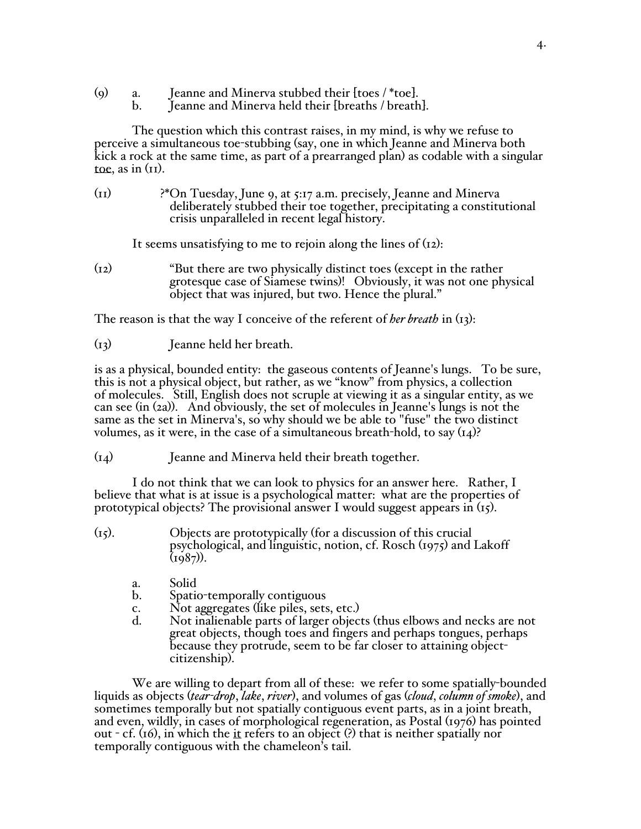- (9) a. Jeanne and Minerva stubbed their [toes / \*toe].<br>b. Jeanne and Minerva held their [breaths / breath
	- Jeanne and Minerva held their [breaths / breath].

The question which this contrast raises, in my mind, is why we refuse to perceive a simultaneous toe-stubbing (say, one in which Jeanne and Minerva both kick a rock at the same time, as part of a prearranged plan) as codable with a singular toe, as in  $(II)$ .

(11) ?\*On Tuesday, June 9, at 5:17 a.m. precisely, Jeanne and Minerva deliberately stubbed their toe together, precipitating a constitutional crisis unparalleled in recent legal history.

It seems unsatisfying to me to rejoin along the lines of (12):

(12) "But there are two physically distinct toes (except in the rather grotesque case of Siamese twins)! Obviously, it was not one physical object that was injured, but two. Hence the plural."

The reason is that the way I conceive of the referent of *her breath* in (13):

(13) Jeanne held her breath.

is as a physical, bounded entity: the gaseous contents of Jeanne's lungs. To be sure, this is not a physical object, but rather, as we "know" from physics, a collection of molecules. Still, English does not scruple at viewing it as a singular entity, as we can see (in (2a)). And obviously, the set of molecules in Jeanne's lungs is not the same as the set in Minerva's, so why should we be able to "fuse" the two distinct volumes, as it were, in the case of a simultaneous breath-hold, to say (14)?

(14) Jeanne and Minerva held their breath together.

I do not think that we can look to physics for an answer here. Rather, I believe that what is at issue is a psychological matter: what are the properties of prototypical objects? The provisional answer I would suggest appears in  $(r_5)$ .

- (15). Objects are prototypically (for a discussion of this crucial psychological, and linguistic, notion, cf. Rosch (1975) and Lakoff  $(1987)$ .
	- a. Solid
	- b. Spatio-temporally contiguous
	- c. Not aggregates (like piles, sets, etc.)<br>d. Not inalienable parts of larger object
	- Not inalienable parts of larger objects (thus elbows and necks are not great objects, though toes and fingers and perhaps tongues, perhaps because they protrude, seem to be far closer to attaining objectcitizenship).

We are willing to depart from all of these: we refer to some spatially-bounded liquids as objects (*tear-drop*, *lake*, *river*), and volumes of gas (*cloud*, *column of smoke*), and sometimes temporally but not spatially contiguous event parts, as in a joint breath, and even, wildly, in cases of morphological regeneration, as Postal (1976) has pointed out - cf. (16), in which the it refers to an object (?) that is neither spatially nor temporally contiguous with the chameleon's tail.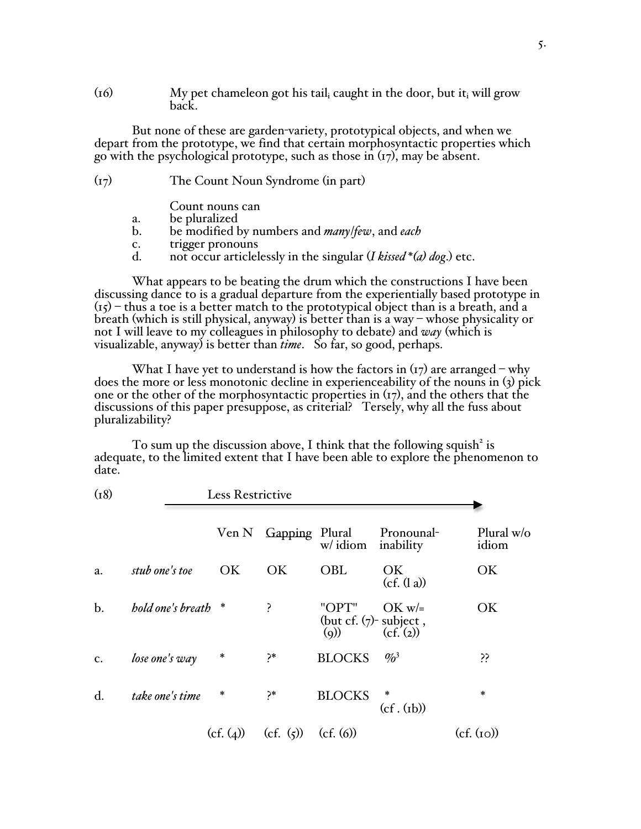$(16)$  My pet chameleon got his tail<sub>i</sub> caught in the door, but it<sub>i</sub> will grow back.

But none of these are garden-variety, prototypical objects, and when we depart from the prototype, we find that certain morphosyntactic properties which go with the psychological prototype, such as those in  $(r_7)$ , may be absent.

| (I7) | The Count Noun Syndrome (in part) |  |  |
|------|-----------------------------------|--|--|
|------|-----------------------------------|--|--|

- Count nouns can
- a. be pluralized
- b. be modified by numbers and *many*/*few*, and *each*
- c. trigger pronouns<br>d. not occur articlel
- not occur articlelessly in the singular (*I kissed*  $*(a)$  *dog.*) etc.

What appears to be beating the drum which the constructions I have been discussing dance to is a gradual departure from the experientially based prototype in  $(i5)$  – thus a toe is a better match to the prototypical object than is a breath, and a breath (which is still physical, anyway) is better than is a way – whose physicality or not I will leave to my colleagues in philosophy to debate) and *way* (which is visualizable, anyway) is better than *time*. So far, so good, perhaps.

What I have yet to understand is how the factors in  $(\tau)$  are arranged – why does the more or less monotonic decline in experienceability of the nouns in (3) pick one or the other of the morphosyntactic properties in  $(r<sub>7</sub>)$ , and the others that the discussions of this paper presuppose, as criterial? Tersely, why all the fuss about pluralizability?

To sum up the discussion above, I think that the following squish<sup>2</sup> is adequate, to the limited extent that I have been able to explore the phenomenon to date.

| (18)  |                     | Less Restrictive |                |                                           |                            |                       |  |
|-------|---------------------|------------------|----------------|-------------------------------------------|----------------------------|-----------------------|--|
|       |                     | Ven N            | Gapping Plural | w/idiom                                   | Pronounal-<br>inability    | Plural $w/o$<br>idiom |  |
| a.    | stub one's toe      | OK               | OK             | <b>OBL</b>                                | OK.<br>(cf. (l a))         | OK                    |  |
| $b$ . | hold one's breath * |                  | ?              | "OPT"<br>(but cf. $(7)$ - subject,<br>(q) | $OK w =$<br>(cf.(2))       | OK                    |  |
| c.    | lose one's way      | $\ast$           | ?*             | <b>BLOCKS</b>                             | $\frac{9}{0}$ <sup>3</sup> | ÿ,                    |  |
| d.    | take one's time     | *                | ?*             | <b>BLOCKS</b>                             | $\ast$<br>(cf. (rb))       | $\ast$                |  |
|       |                     | (cf. (4))        | (cf. $(5)$ )   | (cf. (6))                                 |                            | (cf. (ro))            |  |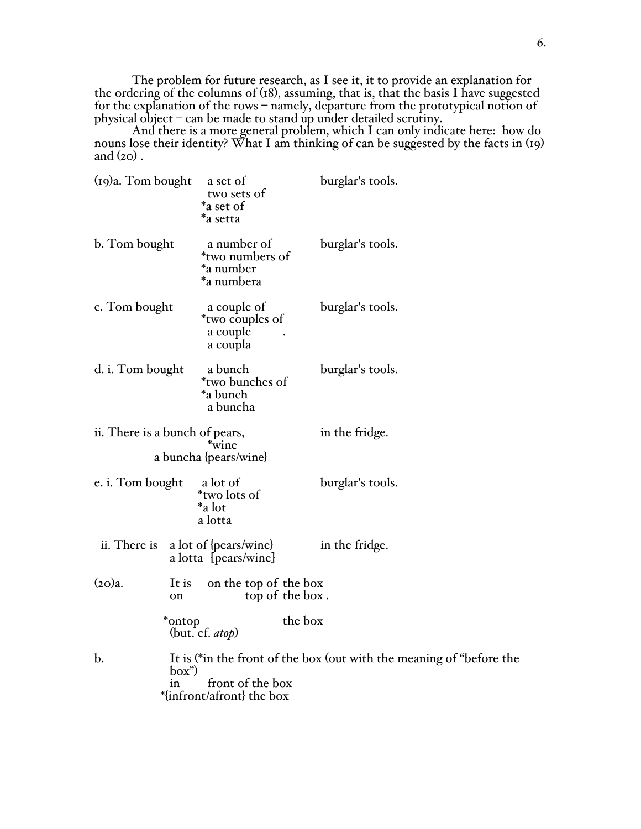The problem for future research, as I see it, it to provide an explanation for the ordering of the columns of (18), assuming, that is, that the basis I have suggested for the explanation of the rows – namely, departure from the prototypical notion of physical object – can be made to stand up under detailed scrutiny.

And there is a more general problem, which I can only indicate here: how do nouns lose their identity? What I am thinking of can be suggested by the facts in (19) and  $(20)$ .

| $(19)a$ . Tom bought           | a set of<br>two sets of<br>*a set of<br>*a setta              | burglar's tools.                                                     |  |
|--------------------------------|---------------------------------------------------------------|----------------------------------------------------------------------|--|
| b. Tom bought                  | a number of<br>*two numbers of<br>*a number<br>*a numbera     | burglar's tools.                                                     |  |
| c. Tom bought                  | a couple of<br><i>*two</i> couples of<br>a couple<br>a coupla | burglar's tools.                                                     |  |
| d. i. Tom bought               | a bunch<br>*two bunches of<br>*a bunch<br>a buncha            | burglar's tools.                                                     |  |
| ii. There is a bunch of pears, | *wine<br>a buncha {pears/wine}                                | in the fridge.                                                       |  |
| e. i. Tom bought               | a lot of<br>*two lots of<br>*a lot<br>a lotta                 | burglar's tools.                                                     |  |
| ii. There is                   | a lot of {pears/wine}<br>a lotta [pears/wine]                 | in the fridge.                                                       |  |
| $(20)a$ .<br>It is<br>on       | on the top of the box<br>top of the box.                      |                                                                      |  |
| *ontop                         | the box<br>(but. cf. $atop$ )                                 |                                                                      |  |
| b.<br>box")<br>1n              | front of the box<br>*{infront/afront} the box                 | It is (*in the front of the box (out with the meaning of "before the |  |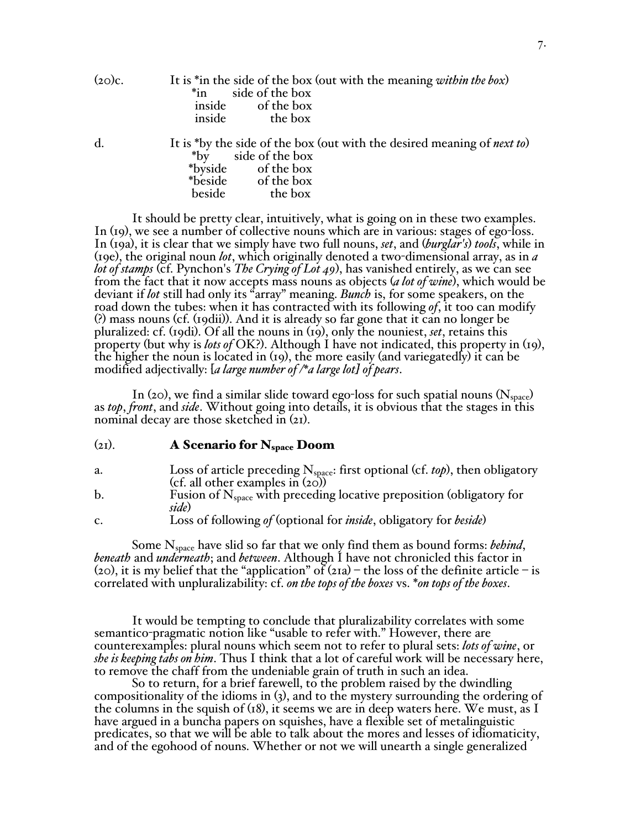(20)c. It is \*in the side of the box (out with the meaning *within the box*) side of the box inside of the box inside the box

d. It is \*by the side of the box (out with the desired meaning of *next to*) \*by side of the box \*byside of the box \*beside of the box<br>beside the box the box

It should be pretty clear, intuitively, what is going on in these two examples. In (19), we see a number of collective nouns which are in various: stages of ego-loss. In (19a), it is clear that we simply have two full nouns, *set*, and (*burglar's*) *tools*, while in (19e), the original noun *lot*, which originally denoted a two-dimensional array, as in *a lot of stamps* (cf. Pynchon's *The Crying of Lot 49*), has vanished entirely, as we can see from the fact that it now accepts mass nouns as objects (*a lot of wine*), which would be deviant if *lot* still had only its "array" meaning. *Bunch* is, for some speakers, on the road down the tubes: when it has contracted with its following *of*, it too can modify (?) mass nouns (cf. (19dii)). And it is already so far gone that it can no longer be pluralized: cf. (19di). Of all the nouns in (19), only the nouniest, *set*, retains this property (but why is *lots of* OK?). Although I have not indicated, this property in (19), the higher the noun is located in (19), the more easily (and variegatedly) it can be modified adjectivally: [*a large number of /\*a large lot] of pears*.

In (20), we find a similar slide toward ego-loss for such spatial nouns ( $N_{space}$ ) as *top*, *front*, and *side*. Without going into details, it is obvious that the stages in this nominal decay are those sketched in  $(21)$ .

#### $(21)$ . A Scenario for N<sub>space</sub> Doom

- a. Loss of article preceding N<sub>space</sub>: first optional (cf. *top*), then obligatory (cf. all other examples in (20))
- b. Fusion of  $N_{space}$  with preceding locative preposition (obligatory for *side*)
- c. Loss of following *of* (optional for *inside*, obligatory for *beside*)

Some N<sub>space</sub> have slid so far that we only find them as bound forms: *behind*, *beneath* and *underneath*; and *between*. Although I have not chronicled this factor in (20), it is my belief that the "application" of  $(21a)$  – the loss of the definite article – is correlated with unpluralizability: cf. *on the tops of the boxes* vs. \**on tops of the boxes*.

It would be tempting to conclude that pluralizability correlates with some semantico-pragmatic notion like "usable to refer with." However, there are counterexamples: plural nouns which seem not to refer to plural sets: *lots of wine*, or *she is keeping tabs on him*. Thus I think that a lot of careful work will be necessary here, to remove the chaff from the undeniable grain of truth in such an idea.<br>So to return, for a brief farewell, to the problem raised by the dwindling

compositionality of the idioms in  $(3)$ , and to the mystery surrounding the ordering of the columns in the squish of  $(18)$ , it seems we are in deep waters here. We must, as I have argued in a buncha papers on squishes, have a flexible set of metalinguistic predicates, so that we will be able to talk about the mores and lesses of idiomaticity, and of the egohood of nouns. Whether or not we will unearth a single generalized